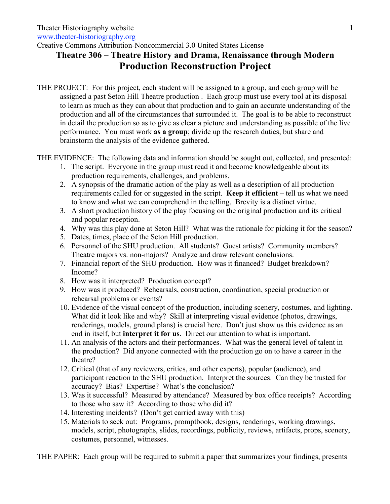Creative Commons Attribution-Noncommercial 3.0 United States License

## **Theatre 306 – Theatre History and Drama, Renaissance through Modern Production Reconstruction Project**

THE PROJECT: For this project, each student will be assigned to a group, and each group will be assigned a past Seton Hill Theatre production . Each group must use every tool at its disposal to learn as much as they can about that production and to gain an accurate understanding of the production and all of the circumstances that surrounded it. The goal is to be able to reconstruct in detail the production so as to give as clear a picture and understanding as possible of the live performance. You must work **as a group**; divide up the research duties, but share and brainstorm the analysis of the evidence gathered.

THE EVIDENCE: The following data and information should be sought out, collected, and presented:

- 1. The script. Everyone in the group must read it and become knowledgeable about its production requirements, challenges, and problems.
- 2. A synopsis of the dramatic action of the play as well as a description of all production requirements called for or suggested in the script. **Keep it efficient** – tell us what we need to know and what we can comprehend in the telling. Brevity is a distinct virtue.
- 3. A short production history of the play focusing on the original production and its critical and popular reception.
- 4. Why was this play done at Seton Hill? What was the rationale for picking it for the season?
- 5. Dates, times, place of the Seton Hill production.
- 6. Personnel of the SHU production. All students? Guest artists? Community members? Theatre majors vs. non-majors? Analyze and draw relevant conclusions.
- 7. Financial report of the SHU production. How was it financed? Budget breakdown? Income?
- 8. How was it interpreted? Production concept?
- 9. How was it produced? Rehearsals, construction, coordination, special production or rehearsal problems or events?
- 10. Evidence of the visual concept of the production, including scenery, costumes, and lighting. What did it look like and why? Skill at interpreting visual evidence (photos, drawings, renderings, models, ground plans) is crucial here. Don't just show us this evidence as an end in itself, but **interpret it for us**. Direct our attention to what is important.
- 11. An analysis of the actors and their performances. What was the general level of talent in the production? Did anyone connected with the production go on to have a career in the theatre?
- 12. Critical (that of any reviewers, critics, and other experts), popular (audience), and participant reaction to the SHU production. Interpret the sources. Can they be trusted for accuracy? Bias? Expertise? What's the conclusion?
- 13. Was it successful? Measured by attendance? Measured by box office receipts? According to those who saw it? According to those who did it?
- 14. Interesting incidents? (Don't get carried away with this)
- 15. Materials to seek out: Programs, promptbook, designs, renderings, working drawings, models, script, photographs, slides, recordings, publicity, reviews, artifacts, props, scenery, costumes, personnel, witnesses.

THE PAPER: Each group will be required to submit a paper that summarizes your findings, presents